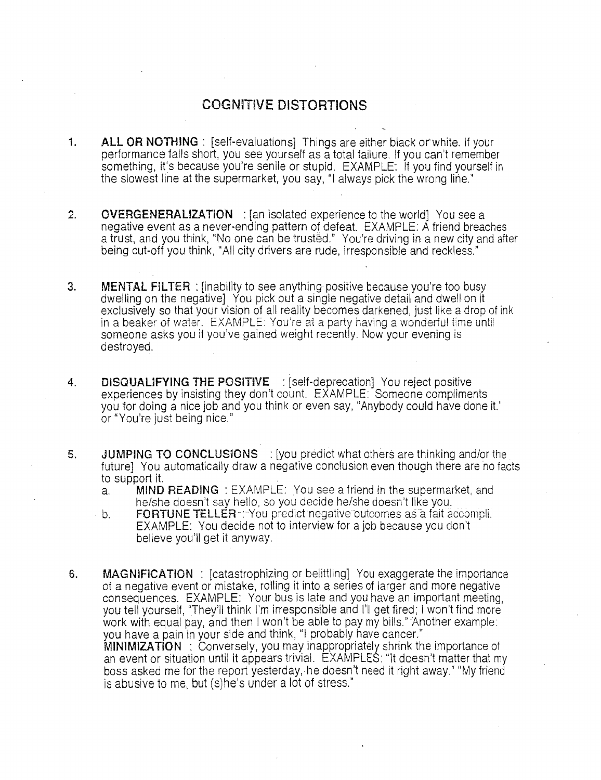## **COGNITIVE DISTORTIONS**

- **1. ALL OR NOTHING**: [self-evaluations] Things are either black or white. If your performance falls short, you see yourself asa total failure. If you can't remember something, it's because you're senile or stupid. EXAMPLE: If you find yourself in the slowest line at the supermarket, you say, "I always pick the wrong lirie."
- **2. OVERGENERALIZATION**: [an isolated experience to the world] You see a negative event as a never-ending pattern of defeat. EXAMPLE: A friend breaches a trust, and you think, "No one can be trusted." You're driving in a new city and after being cut-off you think, "All city drivers are rude, irresponsible and reckless."
- 3. **MENTAL FILTER:** [inability to see anything positive because you're too busy dwelling on the negative] You pick out a single negative detail and dwell on it exclusively so that your vision of all reality becomes darkened, just like a drop of ink in a beaker of water. EXAMPLE: You're at a party having a wonderful time unti someone asks you if you've gained weight recently. Now your evening is destroyed.
- **4. DlSQUAUFYING THE POSITIVE** : [self-deprecation] You reject positive experiences by insisting they don't count. EXAMPLE: Someone compliments you for doing a nice job and you think or even say, "Anybody could have done it." or "You're just being nice."
- 5. **JUMPING TO CONCLUSIONS** : [you predict what others are thinking and/or the future] You automatically draw a negative conclusion even though there are no facts to support it.
	- a. **MIND READING** : EXAMPLE: you see a friend in the supermarket, and he/she doesn't say hello, so you decide he/she doesn't like you.
	- b. **FORTUNE TELLER**: You predict negative outcomes as a fait accompli. EXAMPLE: You decide not to interview for a job because you don't believe you'll get it anyway.
- 6. **MAGNIFICATION**: **[catastrophizing or belittling]** You exaggerate the importance of a negative event or mistake, rolling it into a series of larger and more negative consequences. EXAMPLE: Your bus is late and you have an important meeting, you tell yourself, ''They'll think I'm irresponsible and I'll get fired; I won't find more work with equal pay, and then I won't be able to pay my bills." Another example: you have a pain in your side and think, "I probably have cancer." **MINIMIZATiON** : Conversely, you may inappropriately shrink the importance of an event or situation until it appears trivial. EXAMPLES: ''It doesn't matter that my boss asked me for the report yesterday, he doesn't need it right away." "My friend is abusive to me, but (s)he's under a lot of stress."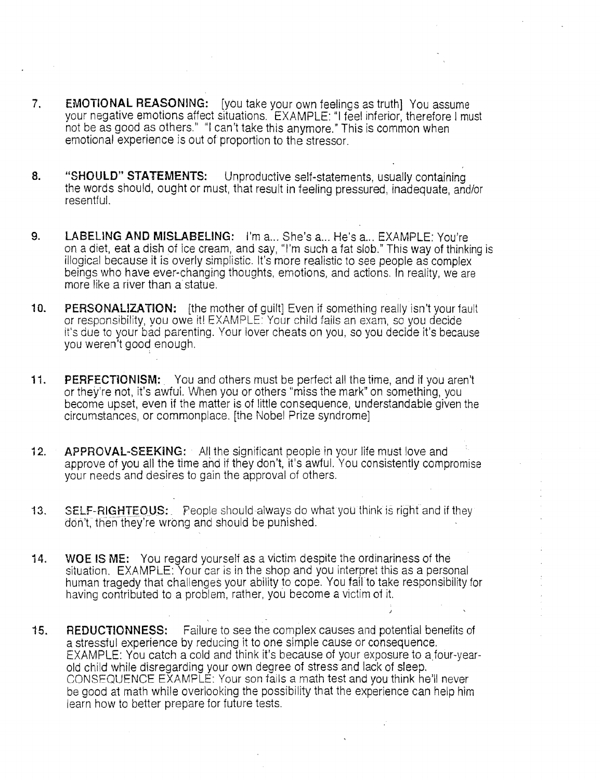- 7. EMOTIONAL REASONING: [you take your own feelings as truth] You assume your negative emotions affect situations. EXAMPLE: "I feel inferior, therefore I must not be as good as others." "I can't take this anymore.» This is common when emotional experience is out of proportion to the stressor.
- 8. "SHOULD" STATEMENTS: Unproductive self-statements, usually containing the words should, ought or must, that result in feeling pressured, inadequate, and/or resentful.
- 9. LABELING AND MISLABELING: I'm a... She's a... He's a... EXAMPLE: You're on a diet, eat a dish of ice cream, and say, "I'm such a fat slob." This way of thinking is illogical because it is overly simplistic. It's more realistic to see people as complex beings who have ever-changing thoughts, emotions, and actions. In reality, we are more like a river than a statue.
- 10. **PERSONALIZATION:** [the mother of guilt] Even if something really isn't your fault or responsibility, you owe it! EXAMPLE: Your child fails an exam, so you decide it's due to your bad parenting. Your lover cheats on you, so you decide it's because you weren't good enough.
- 11. **PERFECTIONISM:** You and others must be perfect all the time, and if you aren't or they're not, it's awful. When you or others "miss the mark" on something, you become upset, even if the matter is of little consequence, understandable given the circumstances, or commonplace. [the Nobel Prize syndrome]
- 12. APPROVAL-SEEKING: All the significant people in your life must love and approve of you all the time and if they don't, it's awful. You consistently compromise your needs and desires to gain the approval of others.
- 13. SELF-RIGHTEOUS: People should always do what you think is right and if they don't, then they're wrong and should be punished.
- 14. WOE IS ME: You regard yourself as a victim despite the ordinariness of the situation. EXAMPLE: Your car is in the shop and you interpret this as a personal human tragedy that challenges your ability to cope. You fail to take responsibility for having contributed to a problem, rather, you become a victim of it.
- 15. REDUCTIONNESS: Failure to see the complex causes and potential benefits of a stressiul experience by reducing it to one simple cause or consequence. EXAMPLE: You catch a cold and think it's because of your exposure to a four-vearold child while disregarding your own degree of stress and lack of sleep. CONSEQUENCE EXAMPLE: Your son fails a math test and you think he'll never be good at math while overlooking the possibility that the experience can help him learn how to better prepare for future tests.